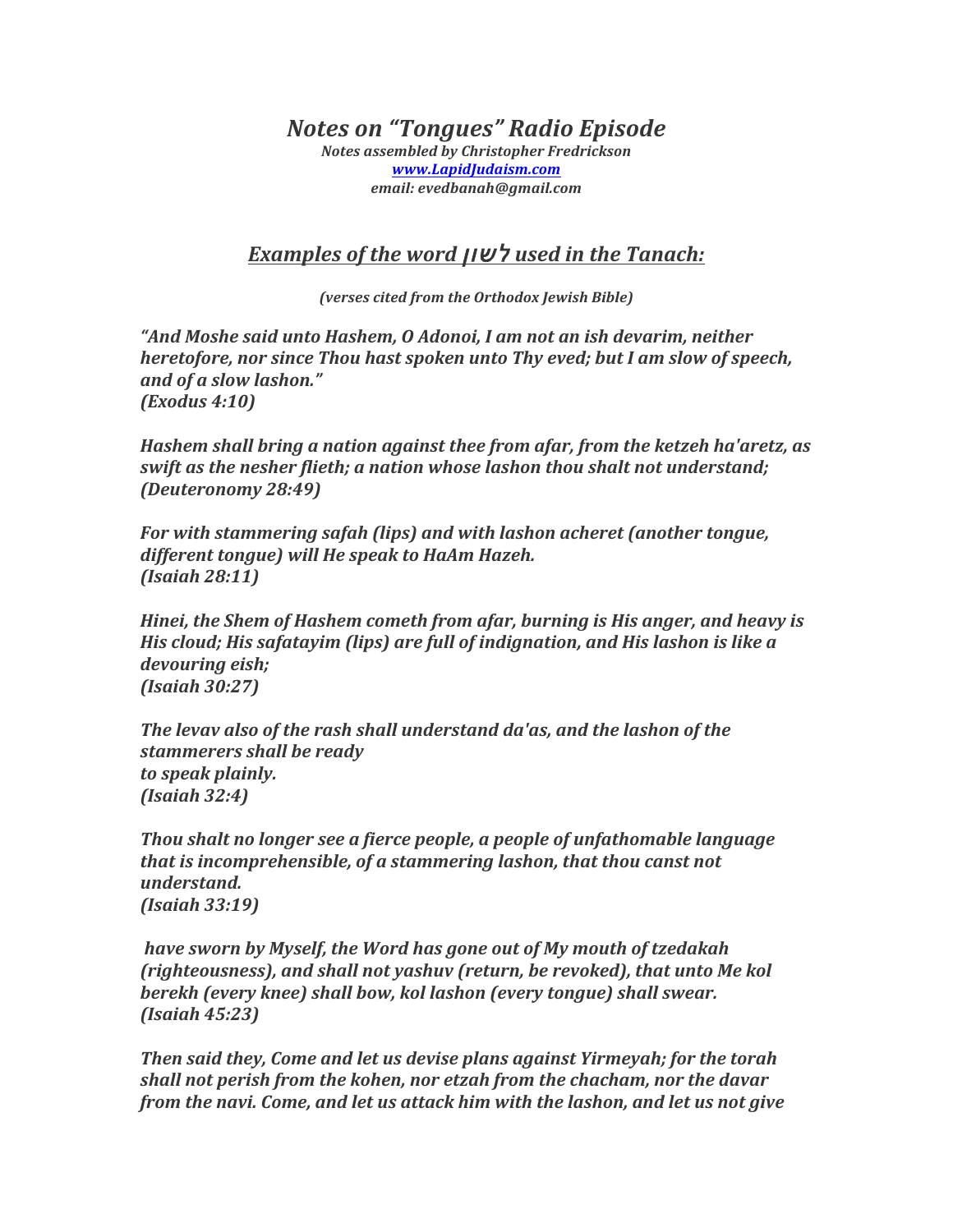*Notes on "Tongues" Radio Episode*

*Notes assembled by Christopher Fredrickson www.LapidJudaism.com email: evedbanah@gmail.com*

## *Examples of the word* לשון *used in the Tanach:*

*(verses cited from the Orthodox Jewish Bible)*

*"And Moshe said unto Hashem, O Adonoi, I am not an ish devarim, neither heretofore, nor since Thou hast spoken unto Thy eved; but I am slow of speech, and of a slow lashon." (Exodus 4:10)* 

*Hashem shall bring a nation against thee from afar, from the ketzeh ha'aretz, as swift* as the nesher flieth; a nation whose lashon thou shalt not understand; *(Deuteronomy 28:49)* 

*For* with stammering safah (lips) and with lashon acheret (another tongue, *different tongue)* will He speak to HaAm Hazeh. *(Isaiah 28:11)* 

*Hinei, the Shem of Hashem cometh from afar, burning is His anger, and heavy is His cloud; His safatayim (lips) are full of indignation, and His lashon is like a devouring eish; (Isaiah 30:27)* 

*The levav also of the rash shall understand da'as, and the lashon of the stammerers shall be ready to speak plainly. (Isaiah 32:4)* 

*Thou* shalt no longer see a fierce people, a people of unfathomable language *that is incomprehensible, of a stammering lashon, that thou canst not understand. (Isaiah 33:19)* 

*have sworn by Myself, the Word has gone out of My mouth of tzedakah (righteousness), and shall not yashuv (return, be revoked), that unto Me kol berekh* (every knee) shall bow, kol lashon (every tongue) shall swear. *(Isaiah 45:23)* 

*Then said they, Come and let us devise plans against Yirmeyah; for the torah shall not perish from the kohen, nor etzah from the chacham, nor the davar from the navi. Come, and let us attack him with the lashon, and let us not give*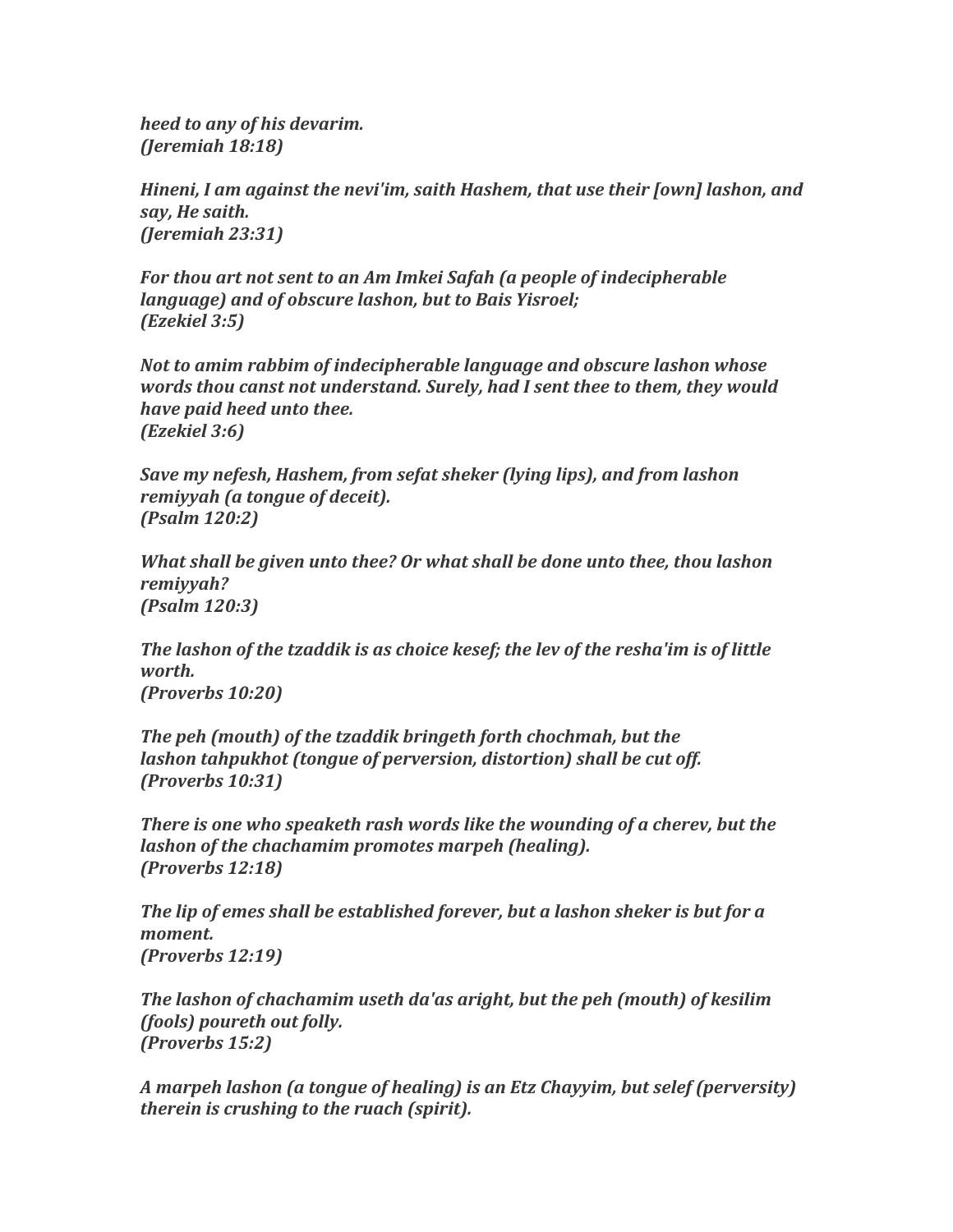*heed to any of his devarim. (Jeremiah 18:18)* 

*Hineni, I am against the nevi'im, saith Hashem, that use their [own] lashon, and say, He saith. (Jeremiah 23:31)* 

For *thou* art not sent to an Am Imkei Safah (a people of indecipherable *language)* and of obscure lashon, but to Bais Yisroel; *(Ezekiel 3:5)* 

*Not to amim rabbim of indecipherable language and obscure lashon whose words thou canst not understand. Surely, had I sent thee to them, they would have paid heed unto thee. (Ezekiel 3:6)* 

*Save my nefesh, Hashem, from sefat sheker (lying lips), and from lashon remiyyah* (*a* tongue of deceit). *(Psalm 120:2)* 

*What shall be given unto thee? Or what shall be done unto thee, thou lashon remiyyah? (Psalm 120:3)* 

The lashon of the tzaddik is as choice kesef; the lev of the resha'im is of little *worth. (Proverbs 10:20)* 

*The peh (mouth)* of the tzaddik bringeth forth chochmah, but the *lashon tahpukhot (tongue of perversion, distortion)* shall be cut off. *(Proverbs 10:31)* 

*There is one who speaketh rash words like the wounding of a cherev, but the lashon of the chachamim promotes marpeh (healing). (Proverbs 12:18)* 

The lip of emes shall be established forever, but a lashon sheker is but for a *moment. (Proverbs 12:19)* 

The lashon of chachamim useth da'as aright, but the peh (mouth) of kesilim *(fools)* poureth out folly. *(Proverbs 15:2)* 

*A* marpeh lashon (a tongue of healing) is an Etz Chayyim, but selef (perversity) *therein is crushing to the ruach (spirit).*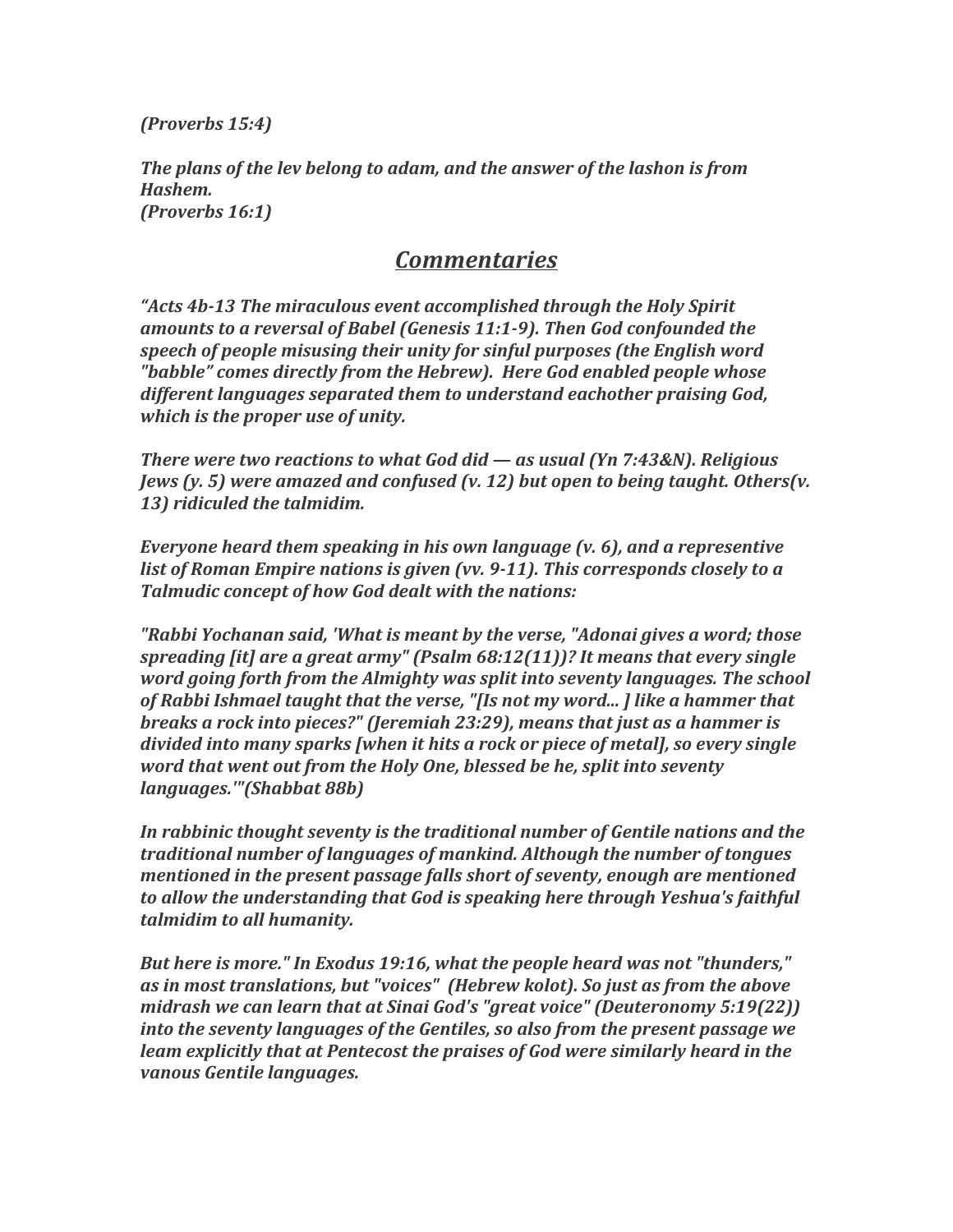*(Proverbs 15:4)* 

The plans of the lev belong to adam, and the answer of the lashon is from *Hashem. (Proverbs 16:1)* 

## *Commentaries*

*"Acts* 4b-13 The miraculous event accomplished through the Holy Spirit *amounts to a reversal of Babel (Genesis 11:1-9). Then God confounded the* speech of people misusing their unity for sinful purposes (the English word "babble" comes directly from the Hebrew). Here God enabled people whose different languages separated them to understand eachother praising God, *which is the proper use of unity.* 

*There* were two reactions to what God did — as usual (Yn 7:43&N). Religious *Jews* (y. 5) were amazed and confused (y. 12) but open to being taught. Others(y. 13) ridiculed the talmidim.

*Everyone heard them speaking in his own language (v. 6), and a representive list of Roman Empire nations is given (vv. 9-11). This corresponds closely to a* **Talmudic concept of how God dealt with the nations:** 

*"Rabbi Yochanan said, 'What is meant by the verse, "Adonai gives a word; those* spreading [it] are a great army" (Psalm 68:12(11))? It means that every single *word going forth from the Almighty was split into seventy languages. The school* of Rabbi Ishmael taught that the verse, "[Is not my word...] like a hammer that *breaks a rock into pieces?"* (Jeremiah 23:29), means that just as a hammer is *divided into many sparks [when it hits a rock or piece of metal], so every single word that went out from the Holy One, blessed be he, split into seventy languages.'"(Shabbat 88b)* 

In rabbinic thought seventy is the traditional number of Gentile nations and the *traditional number of languages of mankind. Although the number of tongues mentioned in the present passage falls short of seventy, enough are mentioned* to allow the understanding that God is speaking here through Yeshua's faithful *talmidim to all humanity.* 

*But here is more." In Exodus 19:16, what the people heard was not "thunders,"* as in most translations, but "voices" (Hebrew kolot). So just as from the above *midrash we can learn that at Sinai God's "great voice" (Deuteronomy 5:19(22)) into the seventy languages of the Gentiles, so also from the present passage we leam explicitly that at Pentecost the praises of God were similarly heard in the vanous Gentile languages.*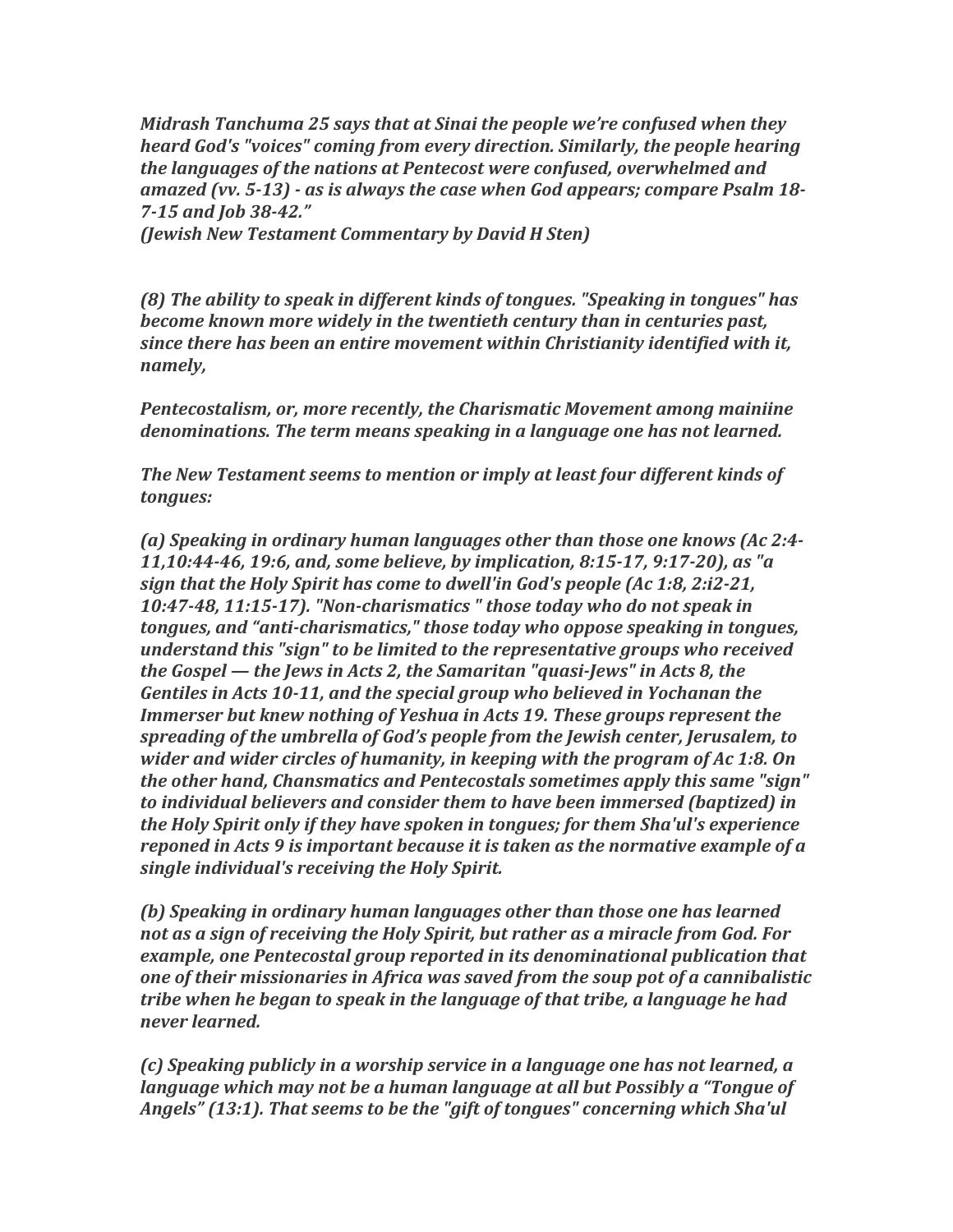*Midrash Tanchuma 25 says that at Sinai the people we're confused when they heard God's* "voices" coming from every direction. Similarly, the people hearing the languages of the nations at Pentecost were confused, overwhelmed and *amazed* (vv. 5-13) - as is always the case when God appears; compare Psalm 18-*7-15 and Job 38-42."*

*(Jewish New Testament Commentary by David H Sten)* 

(8) The ability to speak in different kinds of tongues. "Speaking in tongues" has *become known more widely in the twentieth century than in centuries past, since there has been an entire movement within Christianity identified with it, namely,* 

**Pentecostalism, or, more recently, the Charismatic Movement among mainiine** *denominations.* The term means speaking in a language one has not learned.

**The New Testament seems to mention or imply at least four different kinds of** *tongues:*

(a) Speaking in ordinary human languages other than those one knows (Ac 2:4-*11,10:44-46, 19:6, and, some believe, by implication, 8:15-17, 9:17-20), as "a sign that the Holy Spirit has come to dwell'in God's people (Ac 1:8, 2:i2-21,* 10:47-48, 11:15-17). "Non-charismatics" those today who do not speak in *tongues, and "anti-charismatics,"* those today who oppose speaking in tongues, *understand this "sign" to be limited to the representative groups who received the Gospel* — *the Jews in Acts 2, the Samaritan "quasi-Jews" in Acts 8, the* Gentiles in Acts 10-11, and the special group who believed in Yochanan the *Immerser but knew nothing of Yeshua in Acts 19. These groups represent the spreading of the umbrella of God's people from the Jewish center, Jerusalem, to wider and wider circles of humanity, in keeping with the program of Ac 1:8. On the* other hand, Chansmatics and Pentecostals sometimes apply this same "sign" *to* individual believers and consider them to have been immersed (baptized) in *the Holy Spirit only if they have spoken in tongues; for them Sha'ul's experience reponed in Acts 9 is important because it is taken as the normative example of a* single *individual's receiving the Holy Spirit.* 

*(b)* Speaking in ordinary human languages other than those one has learned not as a sign of receiving the Holy Spirit, but rather as a miracle from God. For *example, one Pentecostal group reported in its denominational publication that one of their missionaries in Africa was saved from the soup pot of a cannibalistic tribe* when he began to speak in the language of that tribe, a language he had *never learned.* 

*(c)* Speaking publicly in a worship service in a language one has not learned, a *language* which may not be a human language at all but Possibly a "Tongue of Angels" (13:1). That seems to be the "gift of tongues" concerning which Sha'ul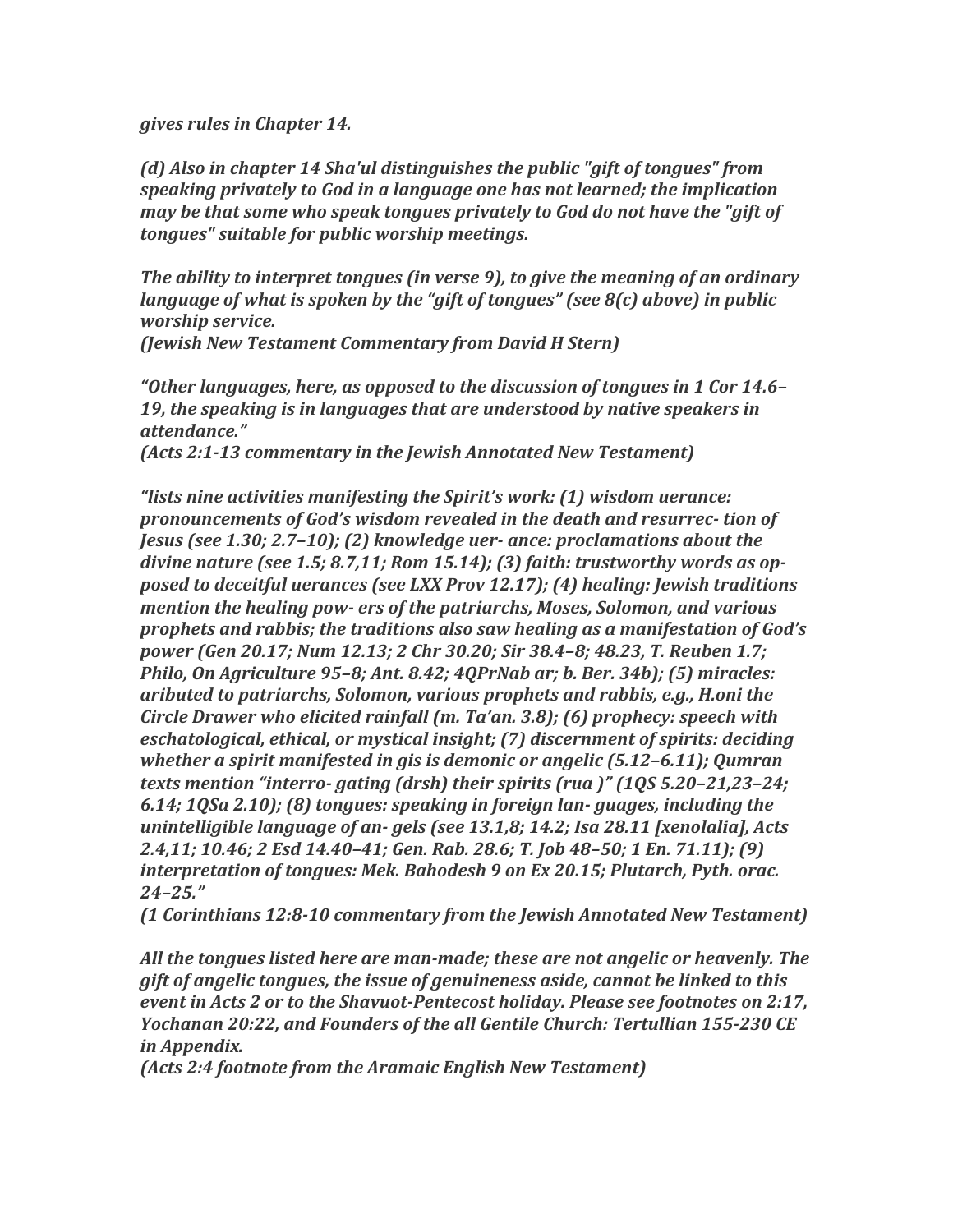*gives rules in Chapter 14.* 

(d) Also in chapter 14 Sha'ul distinguishes the public "gift of tongues" from *speaking privately to God in a language one has not learned; the implication may be that some who speak tongues privately to God do not have the "gift of* tongues" suitable for public worship meetings.

*The ability to interpret tongues (in verse 9), to give the meaning of an ordinary language of what is spoken by the "gift of tongues" (see 8(c) above) in public worship service.* 

*(Jewish New Testament Commentary from David H Stern)* 

*"Other languages, here, as opposed to the discussion of tongues in 1 Cor 14.6–* 19, the speaking is in languages that are understood by native speakers in *attendance."*

*(Acts 2:1-13 commentary in the Jewish Annotated New Testament)* 

*"lists nine activities manifesting the Spirit's work:* (1) wisdom uerance: *pronouncements of God's wisdom revealed in the death and resurrec- tion of Jesus* (see 1.30; 2.7–10); (2) knowledge uer- ance: proclamations about the divine nature (see 1.5; 8.7,11; Rom 15.14); (3) faith: trustworthy words as op*posed to deceitful uerances (see LXX Prov 12.17);* (4) *healing: Jewish traditions mention the healing pow- ers of the patriarchs, Moses, Solomon, and various prophets* and rabbis; the traditions also saw healing as a manifestation of God's *power* (Gen 20.17; Num 12.13; 2 Chr 30.20; Sir 38.4–8; 48.23, T. Reuben 1.7; *Philo, On Agriculture 95–8; Ant. 8.42; 4QPrNab ar; b. Ber. 34b); (5) miracles: aributed to patriarchs, Solomon, various prophets and rabbis, e.g., H.oni the Circle Drawer who elicited rainfall (m. Ta'an. 3.8); (6) prophecy: speech with eschatological, ethical, or mystical insight;* (7) discernment of spirits: deciding *whether a spirit manifested in gis is demonic or angelic (5.12-6.11); Qumran texts* mention "interro- gating (drsh) their spirits (rua)" (10S 5.20–21,23–24; *6.14; 1QSa 2.10); (8) tongues: speaking in foreign lan- guages, including the unintelligible language of an-gels (see 13.1,8; 14.2; Isa 28.11 [xenolalia], Acts* 2.4,11; 10.46; 2 Esd 14.40–41; Gen. Rab. 28.6; T. Job 48–50; 1 En. 71.11); (9) *interpretation of tongues: Mek. Bahodesh 9 on Ex 20.15; Plutarch, Pyth. orac. 24–25."*

*(1 Corinthians 12:8-10 commentary from the Jewish Annotated New Testament)* 

All the tongues listed here are man-made; these are not angelic or heavenly. The *gift* of angelic tongues, the issue of genuineness aside, cannot be linked to this *event in Acts 2 or to the Shavuot-Pentecost holiday. Please see footnotes on 2:17, Yochanan 20:22, and Founders of the all Gentile Church: Tertullian 155-230 CE in Appendix.*

*(Acts 2:4 footnote from the Aramaic English New Testament)*